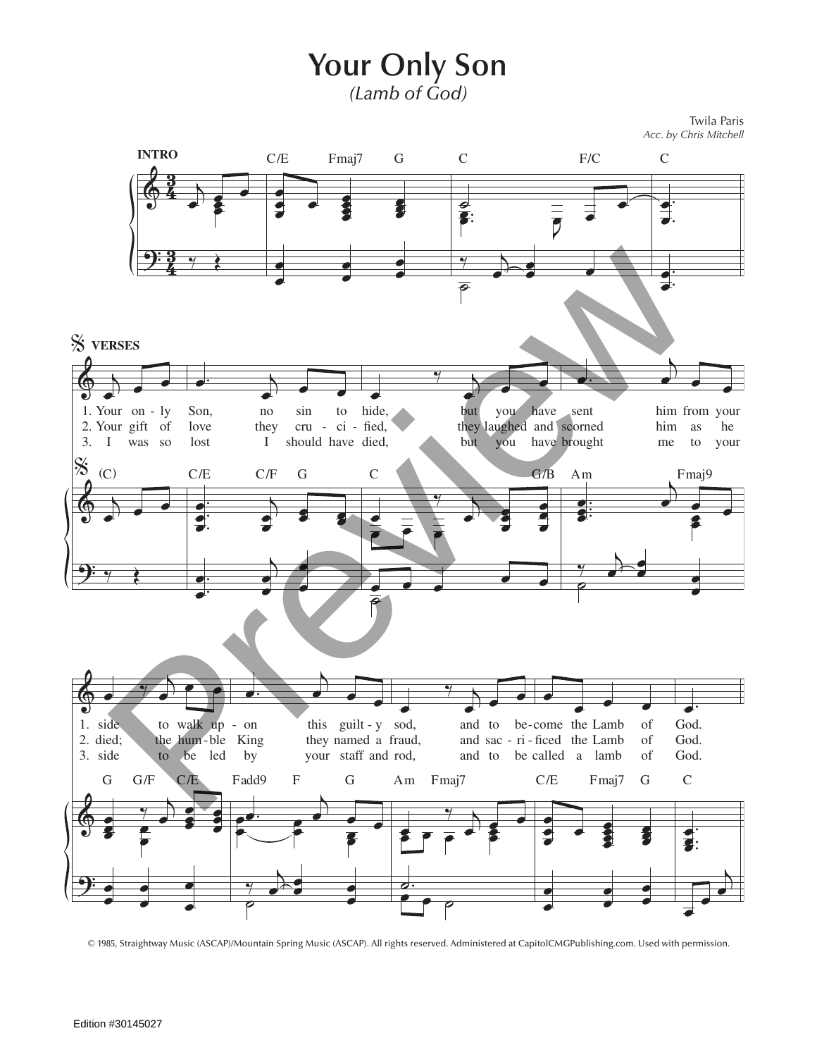**Your Only Son** *(Lamb of God)*

Twila Paris *Acc. by Chris Mitchell*



<sup>© 1985,</sup> Straightway Music (ASCAP)/Mountain Spring Music (ASCAP). All rights reserved. Administered at CapitolCMGPublishing.com. Used with permission.